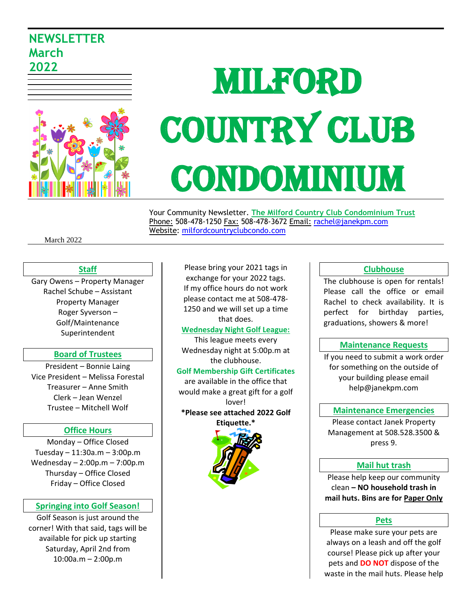# **NEWSLETTER March 2022**



# MILFORD COUNTRY CLUB CONDOMINIUM

 Your Community Newsletter. **The Milford Country Club Condominium Trust** Phone: 508-478-1250 Fax: 508-478-3672 Email: [rachel@janekpm.com](mailto:rachel@janekpm.com) Website: [milfordcountryclubcondo.com](../../AppData/Downloads/milfordcountryclubcondo.com)

March 2022

#### **Staff**

Gary Owens – Property Manager Rachel Schube – Assistant Property Manager Roger Syverson – Golf/Maintenance Superintendent

#### **Board of Trustees**

President – Bonnie Laing Vice President – Melissa Forestal Treasurer – Anne Smith Clerk – Jean Wenzel Trustee – Mitchell Wolf

#### **Office Hours**

Monday – Office Closed Tuesday – 11:30a.m – 3:00p.m Wednesday – 2:00p.m – 7:00p.m Thursday – Office Closed Friday – Office Closed

#### **Springing into Golf Season!**

Golf Season is just around the corner! With that said, tags will be available for pick up starting Saturday, April 2nd from 10:00a.m – 2:00p.m

Please bring your 2021 tags in exchange for your 2022 tags. If my office hours do not work please contact me at 508-478- 1250 and we will set up a time that does.

#### **Wednesday Night Golf League:**

This league meets every Wednesday night at 5:00p.m at the clubhouse.

#### **Golf Membership Gift Certificates**

are available in the office that would make a great gift for a golf lover! **\*Please see attached 2022 Golf** 

**Etiquette.\*** 



#### **Clubhouse**

The clubhouse is open for rentals! Please call the office or email Rachel to check availability. It is perfect for birthday parties, graduations, showers & more!

#### **Maintenance Requests**

If you need to submit a work order for something on the outside of your building please email help@janekpm.com

#### **Maintenance Emergencies**

Please contact Janek Property Management at 508.528.3500 & press 9.

#### **Mail hut trash**

Please help keep our community clean **– NO household trash in mail huts. Bins are for Paper Only**

#### **Pets**

Please make sure your pets are always on a leash and off the golf course! Please pick up after your pets and **DO NOT** dispose of the waste in the mail huts. Please help